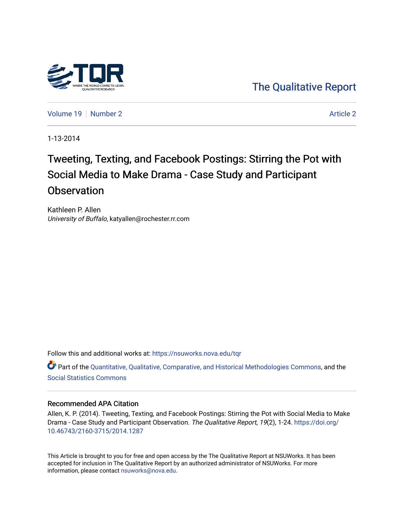

[The Qualitative Report](https://nsuworks.nova.edu/tqr) 

[Volume 19](https://nsuworks.nova.edu/tqr/vol19) [Number 2](https://nsuworks.nova.edu/tqr/vol19/iss2) [Article 2](https://nsuworks.nova.edu/tqr/vol19/iss2/2) Article 2 Article 2 Article 2 Article 2 Article 2 Article 2

1-13-2014

# Tweeting, Texting, and Facebook Postings: Stirring the Pot with Social Media to Make Drama - Case Study and Participant **Observation**

Kathleen P. Allen University of Buffalo, katyallen@rochester.rr.com

Follow this and additional works at: [https://nsuworks.nova.edu/tqr](https://nsuworks.nova.edu/tqr?utm_source=nsuworks.nova.edu%2Ftqr%2Fvol19%2Fiss2%2F2&utm_medium=PDF&utm_campaign=PDFCoverPages) 

Part of the [Quantitative, Qualitative, Comparative, and Historical Methodologies Commons,](http://network.bepress.com/hgg/discipline/423?utm_source=nsuworks.nova.edu%2Ftqr%2Fvol19%2Fiss2%2F2&utm_medium=PDF&utm_campaign=PDFCoverPages) and the [Social Statistics Commons](http://network.bepress.com/hgg/discipline/1275?utm_source=nsuworks.nova.edu%2Ftqr%2Fvol19%2Fiss2%2F2&utm_medium=PDF&utm_campaign=PDFCoverPages) 

# Recommended APA Citation

Allen, K. P. (2014). Tweeting, Texting, and Facebook Postings: Stirring the Pot with Social Media to Make Drama - Case Study and Participant Observation. The Qualitative Report, 19(2), 1-24. [https://doi.org/](https://doi.org/10.46743/2160-3715/2014.1287) [10.46743/2160-3715/2014.1287](https://doi.org/10.46743/2160-3715/2014.1287)

This Article is brought to you for free and open access by the The Qualitative Report at NSUWorks. It has been accepted for inclusion in The Qualitative Report by an authorized administrator of NSUWorks. For more information, please contact [nsuworks@nova.edu.](mailto:nsuworks@nova.edu)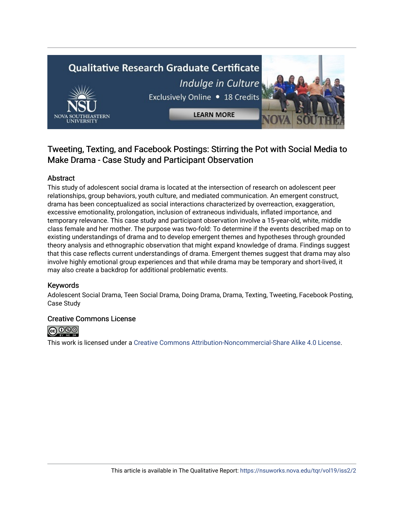# **Qualitative Research Graduate Certificate** Indulge in Culture Exclusively Online . 18 Credits **LEARN MORE**



# Abstract

This study of adolescent social drama is located at the intersection of research on adolescent peer relationships, group behaviors, youth culture, and mediated communication. An emergent construct, drama has been conceptualized as social interactions characterized by overreaction, exaggeration, excessive emotionality, prolongation, inclusion of extraneous individuals, inflated importance, and temporary relevance. This case study and participant observation involve a 15-year-old, white, middle class female and her mother. The purpose was two-fold: To determine if the events described map on to existing understandings of drama and to develop emergent themes and hypotheses through grounded theory analysis and ethnographic observation that might expand knowledge of drama. Findings suggest that this case reflects current understandings of drama. Emergent themes suggest that drama may also involve highly emotional group experiences and that while drama may be temporary and short-lived, it may also create a backdrop for additional problematic events.

# Keywords

Adolescent Social Drama, Teen Social Drama, Doing Drama, Drama, Texting, Tweeting, Facebook Posting, Case Study

# Creative Commons License



This work is licensed under a [Creative Commons Attribution-Noncommercial-Share Alike 4.0 License](https://creativecommons.org/licenses/by-nc-sa/4.0/).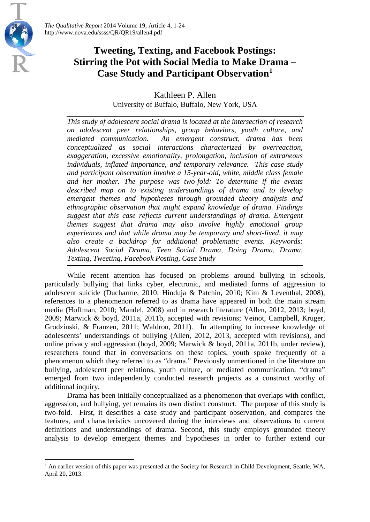# **Tweeting, Texting, and Facebook Postings: Stirring the Pot with Social Media to Make Drama – Case Study and Participant Observation[1](#page-2-0)**

Kathleen P. Allen University of Buffalo, Buffalo, New York, USA

*This study of adolescent social drama is located at the intersection of research on adolescent peer relationships, group behaviors, youth culture, and mediated communication. An emergent construct, drama has been conceptualized as social interactions characterized by overreaction, exaggeration, excessive emotionality, prolongation, inclusion of extraneous individuals, inflated importance, and temporary relevance. This case study and participant observation involve a 15-year-old, white, middle class female and her mother. The purpose was two-fold: To determine if the events described map on to existing understandings of drama and to develop emergent themes and hypotheses through grounded theory analysis and ethnographic observation that might expand knowledge of drama. Findings suggest that this case reflects current understandings of drama. Emergent themes suggest that drama may also involve highly emotional group experiences and that while drama may be temporary and short-lived, it may also create a backdrop for additional problematic events. Keywords: Adolescent Social Drama, Teen Social Drama, Doing Drama, Drama, Texting, Tweeting, Facebook Posting, Case Study*

While recent attention has focused on problems around bullying in schools, particularly bullying that links cyber, electronic, and mediated forms of aggression to adolescent suicide (Ducharme, 2010; Hinduja & Patchin, 2010; Kim & Leventhal, 2008), references to a phenomenon referred to as drama have appeared in both the main stream media (Hoffman, 2010; Mandel, 2008) and in research literature (Allen, 2012, 2013; boyd, 2009; Marwick & boyd, 2011a, 2011b, accepted with revisions; Veinot, Campbell, Kruger, Grodzinski, & Franzen, 2011; Waldron, 2011). In attempting to increase knowledge of adolescents' understandings of bullying (Allen, 2012, 2013, accepted with revisions), and online privacy and aggression (boyd, 2009; Marwick & boyd, 2011a, 2011b, under review), researchers found that in conversations on these topics, youth spoke frequently of a phenomenon which they referred to as "drama." Previously unmentioned in the literature on bullying, adolescent peer relations, youth culture, or mediated communication, "drama" emerged from two independently conducted research projects as a construct worthy of additional inquiry.

Drama has been initially conceptualized as a phenomenon that overlaps with conflict, aggression, and bullying, yet remains its own distinct construct. The purpose of this study is two-fold. First, it describes a case study and participant observation, and compares the features, and characteristics uncovered during the interviews and observations to current definitions and understandings of drama. Second, this study employs grounded theory analysis to develop emergent themes and hypotheses in order to further extend our

<span id="page-2-0"></span><sup>&</sup>lt;sup>1</sup> An earlier version of this paper was presented at the Society for Research in Child Development, Seattle, WA, April 20, 2013.  $\overline{\phantom{a}}$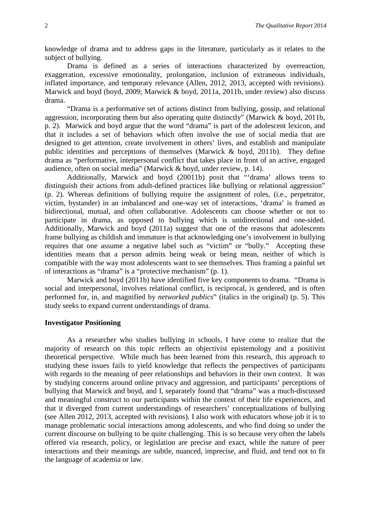knowledge of drama and to address gaps in the literature, particularly as it relates to the subject of bullying.

Drama is defined as a series of interactions characterized by overreaction, exaggeration, excessive emotionality, prolongation, inclusion of extraneous individuals, inflated importance, and temporary relevance (Allen, 2012, 2013, accepted with revisions). Marwick and boyd (boyd, 2009; Marwick & boyd, 2011a, 2011b, under review) also discuss drama.

"Drama is a performative set of actions distinct from bullying, gossip, and relational aggression, incorporating them but also operating quite distinctly" (Marwick & boyd, 2011b, p. 2). Marwick and boyd argue that the word "drama" is part of the adolescent lexicon, and that it includes a set of behaviors which often involve the use of social media that are designed to get attention, create involvement in others' lives, and establish and manipulate public identities and perceptions of themselves (Marwick & boyd, 2011b). They define drama as "performative, interpersonal conflict that takes place in front of an active, engaged audience, often on social media" (Marwick & boyd, under review, p. 14).

Additionally, Marwick and boyd (20011b) posit that "'drama' allows teens to distinguish their actions from adult-defined practices like bullying or relational aggression" (p. 2). Whereas definitions of bullying require the assignment of roles, (i.e., perpetrator, victim, bystander) in an imbalanced and one-way set of interactions, 'drama' is framed as bidirectional, mutual, and often collaborative. Adolescents can choose whether or not to participate in drama, as opposed to bullying which is unidirectional and one-sided. Additionally, Marwick and boyd (2011a) suggest that one of the reasons that adolescents frame bullying as childish and immature is that acknowledging one's involvement in bullying requires that one assume a negative label such as "victim" or "bully." Accepting these identities means that a person admits being weak or being mean, neither of which is compatible with the way most adolescents want to see themselves. Thus framing a painful set of interactions as "drama" is a "protective mechanism" (p. 1).

Marwick and boyd (2011b) have identified five key components to drama. "Drama is social and interpersonal, involves relational conflict, is reciprocal, is gendered, and is often performed for, in, and magnified by *networked publics*" (italics in the original) (p. 5). This study seeks to expand current understandings of drama.

# **Investigator Positioning**

As a researcher who studies bullying in schools, I have come to realize that the majority of research on this topic reflects an objectivist epistemology and a positivist theoretical perspective. While much has been learned from this research, this approach to studying these issues fails to yield knowledge that reflects the perspectives of participants with regards to the meaning of peer relationships and behaviors in their own context. It was by studying concerns around online privacy and aggression, and participants' perceptions of bullying that Marwick and boyd, and I, separately found that "drama" was a much-discussed and meaningful construct to our participants within the context of their life experiences, and that it diverged from current understandings of researchers' conceptualizations of bullying (see Allen 2012, 2013, accepted with revisions). I also work with educators whose job it is to manage problematic social interactions among adolescents, and who find doing so under the current discourse on bullying to be quite challenging. This is so because very often the labels offered via research, policy, or legislation are precise and exact, while the nature of peer interactions and their meanings are subtle, nuanced, imprecise, and fluid, and tend not to fit the language of academia or law.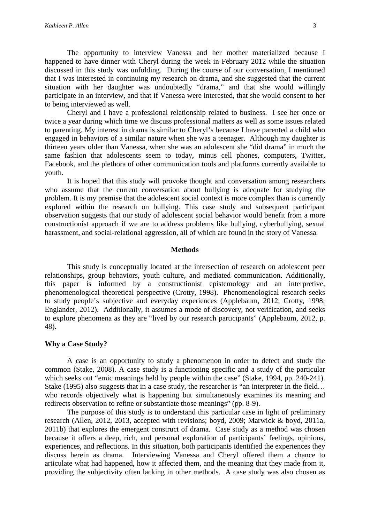The opportunity to interview Vanessa and her mother materialized because I happened to have dinner with Cheryl during the week in February 2012 while the situation discussed in this study was unfolding. During the course of our conversation, I mentioned that I was interested in continuing my research on drama, and she suggested that the current situation with her daughter was undoubtedly "drama," and that she would willingly participate in an interview, and that if Vanessa were interested, that she would consent to her to being interviewed as well.

Cheryl and I have a professional relationship related to business. I see her once or twice a year during which time we discuss professional matters as well as some issues related to parenting. My interest in drama is similar to Cheryl's because I have parented a child who engaged in behaviors of a similar nature when she was a teenager. Although my daughter is thirteen years older than Vanessa, when she was an adolescent she "did drama" in much the same fashion that adolescents seem to today, minus cell phones, computers, Twitter, Facebook, and the plethora of other communication tools and platforms currently available to youth.

It is hoped that this study will provoke thought and conversation among researchers who assume that the current conversation about bullying is adequate for studying the problem. It is my premise that the adolescent social context is more complex than is currently explored within the research on bullying. This case study and subsequent participant observation suggests that our study of adolescent social behavior would benefit from a more constructionist approach if we are to address problems like bullying, cyberbullying, sexual harassment, and social-relational aggression, all of which are found in the story of Vanessa.

#### **Methods**

This study is conceptually located at the intersection of research on adolescent peer relationships, group behaviors, youth culture, and mediated communication. Additionally, this paper is informed by a constructionist epistemology and an interpretive, phenomenological theoretical perspective (Crotty, 1998). Phenomenological research seeks to study people's subjective and everyday experiences (Applebaum, 2012; Crotty, 1998; Englander, 2012). Additionally, it assumes a mode of discovery, not verification, and seeks to explore phenomena as they are "lived by our research participants" (Applebaum, 2012, p. 48).

# **Why a Case Study?**

A case is an opportunity to study a phenomenon in order to detect and study the common (Stake, 2008). A case study is a functioning specific and a study of the particular which seeks out "emic meanings held by people within the case" (Stake, 1994, pp. 240-241). Stake (1995) also suggests that in a case study, the researcher is "an interpreter in the field... who records objectively what is happening but simultaneously examines its meaning and redirects observation to refine or substantiate those meanings" (pp. 8-9).

The purpose of this study is to understand this particular case in light of preliminary research (Allen, 2012, 2013, accepted with revisions; boyd, 2009; Marwick & boyd, 2011a, 2011b) that explores the emergent construct of drama. Case study as a method was chosen because it offers a deep, rich, and personal exploration of participants' feelings, opinions, experiences, and reflections. In this situation, both participants identified the experiences they discuss herein as drama. Interviewing Vanessa and Cheryl offered them a chance to articulate what had happened, how it affected them, and the meaning that they made from it, providing the subjectivity often lacking in other methods. A case study was also chosen as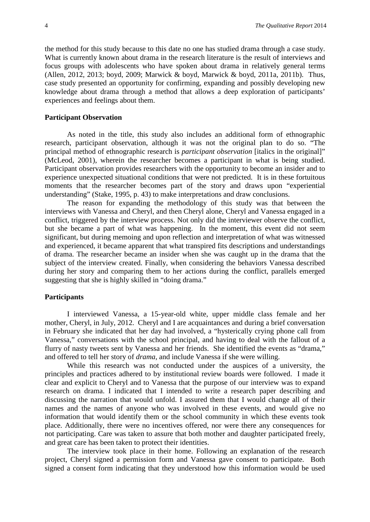the method for this study because to this date no one has studied drama through a case study. What is currently known about drama in the research literature is the result of interviews and focus groups with adolescents who have spoken about drama in relatively general terms (Allen, 2012, 2013; boyd, 2009; Marwick & boyd, Marwick & boyd, 2011a, 2011b). Thus, case study presented an opportunity for confirming, expanding and possibly developing new knowledge about drama through a method that allows a deep exploration of participants' experiences and feelings about them.

#### **Participant Observation**

As noted in the title, this study also includes an additional form of ethnographic research, participant observation, although it was not the original plan to do so. "The principal method of ethnographic research is *participant observation* [italics in the original]" (McLeod, 2001), wherein the researcher becomes a participant in what is being studied. Participant observation provides researchers with the opportunity to become an insider and to experience unexpected situational conditions that were not predicted. It is in these fortuitous moments that the researcher becomes part of the story and draws upon "experiential understanding" (Stake, 1995, p. 43) to make interpretations and draw conclusions.

The reason for expanding the methodology of this study was that between the interviews with Vanessa and Cheryl, and then Cheryl alone, Cheryl and Vanessa engaged in a conflict, triggered by the interview process. Not only did the interviewer observe the conflict, but she became a part of what was happening. In the moment, this event did not seem significant, but during memoing and upon reflection and interpretation of what was witnessed and experienced, it became apparent that what transpired fits descriptions and understandings of drama. The researcher became an insider when she was caught up in the drama that the subject of the interview created. Finally, when considering the behaviors Vanessa described during her story and comparing them to her actions during the conflict, parallels emerged suggesting that she is highly skilled in "doing drama."

#### **Participants**

I interviewed Vanessa, a 15-year-old white, upper middle class female and her mother, Cheryl, in July, 2012. Cheryl and I are acquaintances and during a brief conversation in February she indicated that her day had involved, a "hysterically crying phone call from Vanessa," conversations with the school principal, and having to deal with the fallout of a flurry of nasty tweets sent by Vanessa and her friends. She identified the events as "drama," and offered to tell her story of *drama*, and include Vanessa if she were willing.

While this research was not conducted under the auspices of a university, the principles and practices adhered to by institutional review boards were followed. I made it clear and explicit to Cheryl and to Vanessa that the purpose of our interview was to expand research on drama. I indicated that I intended to write a research paper describing and discussing the narration that would unfold. I assured them that I would change all of their names and the names of anyone who was involved in these events, and would give no information that would identify them or the school community in which these events took place. Additionally, there were no incentives offered, nor were there any consequences for not participating. Care was taken to assure that both mother and daughter participated freely, and great care has been taken to protect their identities.

The interview took place in their home. Following an explanation of the research project, Cheryl signed a permission form and Vanessa gave consent to participate. Both signed a consent form indicating that they understood how this information would be used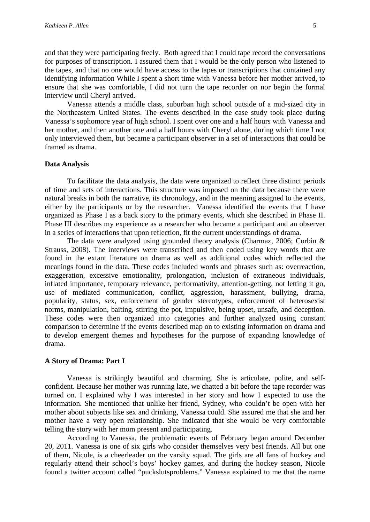and that they were participating freely. Both agreed that I could tape record the conversations for purposes of transcription. I assured them that I would be the only person who listened to the tapes, and that no one would have access to the tapes or transcriptions that contained any identifying information While I spent a short time with Vanessa before her mother arrived, to ensure that she was comfortable, I did not turn the tape recorder on nor begin the formal interview until Cheryl arrived.

Vanessa attends a middle class, suburban high school outside of a mid-sized city in the Northeastern United States. The events described in the case study took place during Vanessa's sophomore year of high school. I spent over one and a half hours with Vanessa and her mother, and then another one and a half hours with Cheryl alone, during which time I not only interviewed them, but became a participant observer in a set of interactions that could be framed as drama.

# **Data Analysis**

To facilitate the data analysis, the data were organized to reflect three distinct periods of time and sets of interactions. This structure was imposed on the data because there were natural breaks in both the narrative, its chronology, and in the meaning assigned to the events, either by the participants or by the researcher. Vanessa identified the events that I have organized as Phase I as a back story to the primary events, which she described in Phase II. Phase III describes my experience as a researcher who became a participant and an observer in a series of interactions that upon reflection, fit the current understandings of drama.

The data were analyzed using grounded theory analysis (Charmaz, 2006; Corbin & Strauss, 2008). The interviews were transcribed and then coded using key words that are found in the extant literature on drama as well as additional codes which reflected the meanings found in the data. These codes included words and phrases such as: overreaction, exaggeration, excessive emotionality, prolongation, inclusion of extraneous individuals, inflated importance, temporary relevance, performativity, attention-getting, not letting it go, use of mediated communication, conflict, aggression, harassment, bullying, drama, popularity, status, sex, enforcement of gender stereotypes, enforcement of heterosexist norms, manipulation, baiting, stirring the pot, impulsive, being upset, unsafe, and deception. These codes were then organized into categories and further analyzed using constant comparison to determine if the events described map on to existing information on drama and to develop emergent themes and hypotheses for the purpose of expanding knowledge of drama.

# **A Story of Drama: Part I**

Vanessa is strikingly beautiful and charming. She is articulate, polite, and selfconfident. Because her mother was running late, we chatted a bit before the tape recorder was turned on. I explained why I was interested in her story and how I expected to use the information. She mentioned that unlike her friend, Sydney, who couldn't be open with her mother about subjects like sex and drinking, Vanessa could. She assured me that she and her mother have a very open relationship. She indicated that she would be very comfortable telling the story with her mom present and participating.

According to Vanessa, the problematic events of February began around December 20, 2011. Vanessa is one of six girls who consider themselves very best friends. All but one of them, Nicole, is a cheerleader on the varsity squad. The girls are all fans of hockey and regularly attend their school's boys' hockey games, and during the hockey season, Nicole found a twitter account called "puckslutsproblems." Vanessa explained to me that the name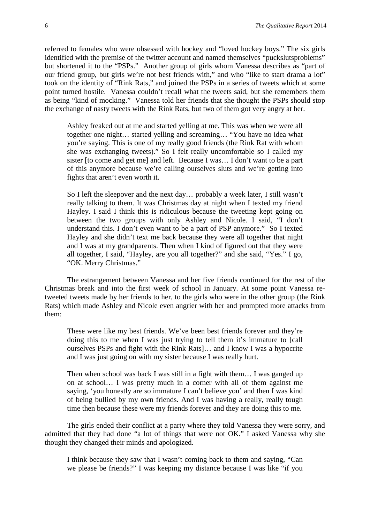referred to females who were obsessed with hockey and "loved hockey boys." The six girls identified with the premise of the twitter account and named themselves "puckslutsproblems" but shortened it to the "PSPs." Another group of girls whom Vanessa describes as "part of our friend group, but girls we're not best friends with," and who "like to start drama a lot" took on the identity of "Rink Rats," and joined the PSPs in a series of tweets which at some point turned hostile. Vanessa couldn't recall what the tweets said, but she remembers them as being "kind of mocking." Vanessa told her friends that she thought the PSPs should stop the exchange of nasty tweets with the Rink Rats, but two of them got very angry at her.

Ashley freaked out at me and started yelling at me. This was when we were all together one night… started yelling and screaming… "You have no idea what you're saying. This is one of my really good friends (the Rink Rat with whom she was exchanging tweets)." So I felt really uncomfortable so I called my sister [to come and get me] and left. Because I was… I don't want to be a part of this anymore because we're calling ourselves sluts and we're getting into fights that aren't even worth it.

So I left the sleepover and the next day… probably a week later, I still wasn't really talking to them. It was Christmas day at night when I texted my friend Hayley. I said I think this is ridiculous because the tweeting kept going on between the two groups with only Ashley and Nicole. I said, "I don't understand this. I don't even want to be a part of PSP anymore." So I texted Hayley and she didn't text me back because they were all together that night and I was at my grandparents. Then when I kind of figured out that they were all together, I said, "Hayley, are you all together?" and she said, "Yes." I go, "OK. Merry Christmas."

The estrangement between Vanessa and her five friends continued for the rest of the Christmas break and into the first week of school in January. At some point Vanessa retweeted tweets made by her friends to her, to the girls who were in the other group (the Rink Rats) which made Ashley and Nicole even angrier with her and prompted more attacks from them:

These were like my best friends. We've been best friends forever and they're doing this to me when I was just trying to tell them it's immature to [call ourselves PSPs and fight with the Rink Rats]… and I know I was a hypocrite and I was just going on with my sister because I was really hurt.

Then when school was back I was still in a fight with them… I was ganged up on at school… I was pretty much in a corner with all of them against me saying, 'you honestly are so immature I can't believe you' and then I was kind of being bullied by my own friends. And I was having a really, really tough time then because these were my friends forever and they are doing this to me.

The girls ended their conflict at a party where they told Vanessa they were sorry, and admitted that they had done "a lot of things that were not OK." I asked Vanessa why she thought they changed their minds and apologized.

I think because they saw that I wasn't coming back to them and saying, "Can we please be friends?" I was keeping my distance because I was like "if you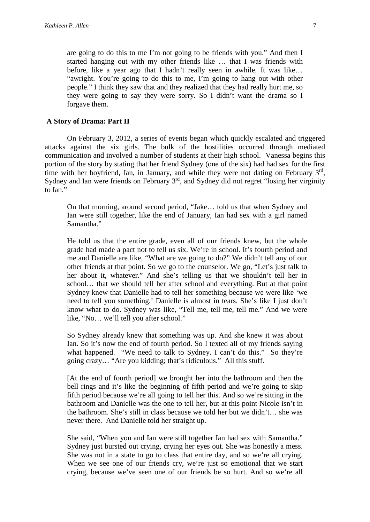are going to do this to me I'm not going to be friends with you." And then I started hanging out with my other friends like … that I was friends with before, like a year ago that I hadn't really seen in awhile. It was like… "awright. You're going to do this to me, I'm going to hang out with other people." I think they saw that and they realized that they had really hurt me, so they were going to say they were sorry. So I didn't want the drama so I forgave them.

# **A Story of Drama: Part II**

On February 3, 2012, a series of events began which quickly escalated and triggered attacks against the six girls. The bulk of the hostilities occurred through mediated communication and involved a number of students at their high school. Vanessa begins this portion of the story by stating that her friend Sydney (one of the six) had had sex for the first time with her boyfriend, Ian, in January, and while they were not dating on February  $3<sup>rd</sup>$ , Sydney and Ian were friends on February 3<sup>rd</sup>, and Sydney did not regret "losing her virginity" to Ian."

On that morning, around second period, "Jake… told us that when Sydney and Ian were still together, like the end of January, Ian had sex with a girl named Samantha."

He told us that the entire grade, even all of our friends knew, but the whole grade had made a pact not to tell us six. We're in school. It's fourth period and me and Danielle are like, "What are we going to do?" We didn't tell any of our other friends at that point. So we go to the counselor. We go, "Let's just talk to her about it, whatever." And she's telling us that we shouldn't tell her in school… that we should tell her after school and everything. But at that point Sydney knew that Danielle had to tell her something because we were like 'we need to tell you something.' Danielle is almost in tears. She's like I just don't know what to do. Sydney was like, "Tell me, tell me, tell me." And we were like, "No… we'll tell you after school."

So Sydney already knew that something was up. And she knew it was about Ian. So it's now the end of fourth period. So I texted all of my friends saying what happened. "We need to talk to Sydney. I can't do this." So they're going crazy… "Are you kidding; that's ridiculous." All this stuff.

[At the end of fourth period] we brought her into the bathroom and then the bell rings and it's like the beginning of fifth period and we're going to skip fifth period because we're all going to tell her this. And so we're sitting in the bathroom and Danielle was the one to tell her, but at this point Nicole isn't in the bathroom. She's still in class because we told her but we didn't… she was never there. And Danielle told her straight up.

She said, "When you and Ian were still together Ian had sex with Samantha." Sydney just bursted out crying, crying her eyes out. She was honestly a mess. She was not in a state to go to class that entire day, and so we're all crying. When we see one of our friends cry, we're just so emotional that we start crying, because we've seen one of our friends be so hurt. And so we're all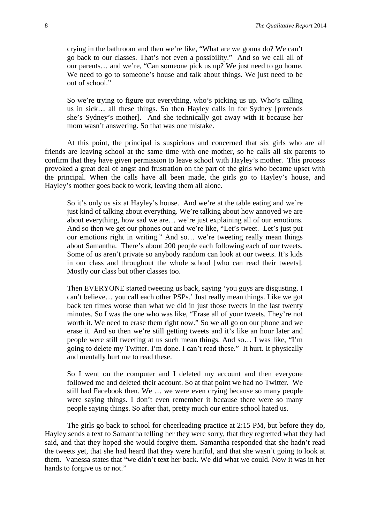crying in the bathroom and then we're like, "What are we gonna do? We can't go back to our classes. That's not even a possibility." And so we call all of our parents… and we're, "Can someone pick us up? We just need to go home. We need to go to someone's house and talk about things. We just need to be out of school."

So we're trying to figure out everything, who's picking us up. Who's calling us in sick… all these things. So then Hayley calls in for Sydney [pretends she's Sydney's mother]. And she technically got away with it because her mom wasn't answering. So that was one mistake.

At this point, the principal is suspicious and concerned that six girls who are all friends are leaving school at the same time with one mother, so he calls all six parents to confirm that they have given permission to leave school with Hayley's mother. This process provoked a great deal of angst and frustration on the part of the girls who became upset with the principal. When the calls have all been made, the girls go to Hayley's house, and Hayley's mother goes back to work, leaving them all alone.

So it's only us six at Hayley's house. And we're at the table eating and we're just kind of talking about everything. We're talking about how annoyed we are about everything, how sad we are… we're just explaining all of our emotions. And so then we get our phones out and we're like, "Let's tweet. Let's just put our emotions right in writing." And so… we're tweeting really mean things about Samantha. There's about 200 people each following each of our tweets. Some of us aren't private so anybody random can look at our tweets. It's kids in our class and throughout the whole school [who can read their tweets]. Mostly our class but other classes too.

Then EVERYONE started tweeting us back, saying 'you guys are disgusting. I can't believe… you call each other PSPs.' Just really mean things. Like we got back ten times worse than what we did in just those tweets in the last twenty minutes. So I was the one who was like, "Erase all of your tweets. They're not worth it. We need to erase them right now." So we all go on our phone and we erase it. And so then we're still getting tweets and it's like an hour later and people were still tweeting at us such mean things. And so… I was like, "I'm going to delete my Twitter. I'm done. I can't read these." It hurt. It physically and mentally hurt me to read these.

So I went on the computer and I deleted my account and then everyone followed me and deleted their account. So at that point we had no Twitter. We still had Facebook then. We … we were even crying because so many people were saying things. I don't even remember it because there were so many people saying things. So after that, pretty much our entire school hated us.

The girls go back to school for cheerleading practice at 2:15 PM, but before they do, Hayley sends a text to Samantha telling her they were sorry, that they regretted what they had said, and that they hoped she would forgive them. Samantha responded that she hadn't read the tweets yet, that she had heard that they were hurtful, and that she wasn't going to look at them. Vanessa states that "we didn't text her back. We did what we could. Now it was in her hands to forgive us or not."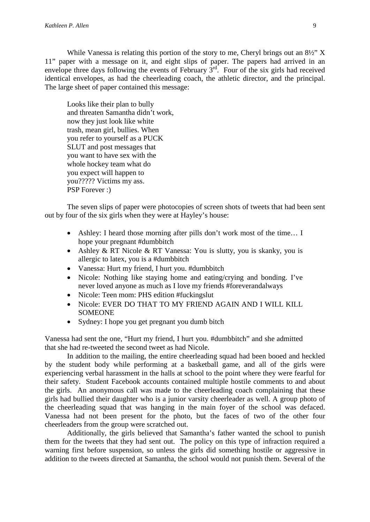While Vanessa is relating this portion of the story to me, Cheryl brings out an  $8\frac{1}{2}$ " X 11" paper with a message on it, and eight slips of paper. The papers had arrived in an envelope three days following the events of February 3rd. Four of the six girls had received identical envelopes, as had the cheerleading coach, the athletic director, and the principal. The large sheet of paper contained this message:

Looks like their plan to bully and threaten Samantha didn't work, now they just look like white trash, mean girl, bullies. When you refer to yourself as a PUCK SLUT and post messages that you want to have sex with the whole hockey team what do you expect will happen to you????? Victims my ass. PSP Forever :)

The seven slips of paper were photocopies of screen shots of tweets that had been sent out by four of the six girls when they were at Hayley's house:

- Ashley: I heard those morning after pills don't work most of the time... I hope your pregnant #dumbbitch
- Ashley & RT Nicole & RT Vanessa: You is slutty, you is skanky, you is allergic to latex, you is a #dumbbitch
- Vanessa: Hurt my friend, I hurt you. #dumbbitch
- Nicole: Nothing like staying home and eating/crying and bonding. I've never loved anyone as much as I love my friends #foreverandalways
- Nicole: Teen mom: PHS edition #fuckingslut
- Nicole: EVER DO THAT TO MY FRIEND AGAIN AND I WILL KILL **SOMEONE**
- Sydney: I hope you get pregnant you dumb bitch

Vanessa had sent the one, "Hurt my friend, I hurt you. #dumbbitch" and she admitted that she had re-tweeted the second tweet as had Nicole.

In addition to the mailing, the entire cheerleading squad had been booed and heckled by the student body while performing at a basketball game, and all of the girls were experiencing verbal harassment in the halls at school to the point where they were fearful for their safety. Student Facebook accounts contained multiple hostile comments to and about the girls. An anonymous call was made to the cheerleading coach complaining that these girls had bullied their daughter who is a junior varsity cheerleader as well. A group photo of the cheerleading squad that was hanging in the main foyer of the school was defaced. Vanessa had not been present for the photo, but the faces of two of the other four cheerleaders from the group were scratched out.

Additionally, the girls believed that Samantha's father wanted the school to punish them for the tweets that they had sent out. The policy on this type of infraction required a warning first before suspension, so unless the girls did something hostile or aggressive in addition to the tweets directed at Samantha, the school would not punish them. Several of the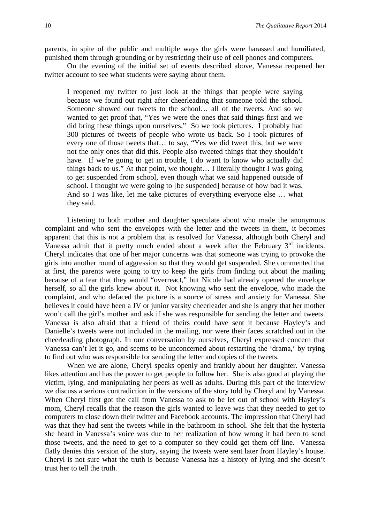parents, in spite of the public and multiple ways the girls were harassed and humiliated, punished them through grounding or by restricting their use of cell phones and computers.

On the evening of the initial set of events described above, Vanessa reopened her twitter account to see what students were saying about them.

I reopened my twitter to just look at the things that people were saying because we found out right after cheerleading that someone told the school. Someone showed our tweets to the school… all of the tweets. And so we wanted to get proof that, "Yes we were the ones that said things first and we did bring these things upon ourselves." So we took pictures. I probably had 300 pictures of tweets of people who wrote us back. So I took pictures of every one of those tweets that… to say, "Yes we did tweet this, but we were not the only ones that did this. People also tweeted things that they shouldn't have. If we're going to get in trouble, I do want to know who actually did things back to us." At that point, we thought… I literally thought I was going to get suspended from school, even though what we said happened outside of school. I thought we were going to [be suspended] because of how bad it was. And so I was like, let me take pictures of everything everyone else … what they said.

Listening to both mother and daughter speculate about who made the anonymous complaint and who sent the envelopes with the letter and the tweets in them, it becomes apparent that this is not a problem that is resolved for Vanessa, although both Cheryl and Vanessa admit that it pretty much ended about a week after the February 3<sup>rd</sup> incidents. Cheryl indicates that one of her major concerns was that someone was trying to provoke the girls into another round of aggression so that they would get suspended. She commented that at first, the parents were going to try to keep the girls from finding out about the mailing because of a fear that they would "overreact," but Nicole had already opened the envelope herself, so all the girls knew about it. Not knowing who sent the envelope, who made the complaint, and who defaced the picture is a source of stress and anxiety for Vanessa. She believes it could have been a JV or junior varsity cheerleader and she is angry that her mother won't call the girl's mother and ask if she was responsible for sending the letter and tweets. Vanessa is also afraid that a friend of theirs could have sent it because Hayley's and Danielle's tweets were not included in the mailing, nor were their faces scratched out in the cheerleading photograph. In our conversation by ourselves, Cheryl expressed concern that Vanessa can't let it go, and seems to be unconcerned about restarting the 'drama,' by trying to find out who was responsible for sending the letter and copies of the tweets.

When we are alone, Cheryl speaks openly and frankly about her daughter. Vanessa likes attention and has the power to get people to follow her. She is also good at playing the victim, lying, and manipulating her peers as well as adults. During this part of the interview we discuss a serious contradiction in the versions of the story told by Cheryl and by Vanessa. When Cheryl first got the call from Vanessa to ask to be let out of school with Hayley's mom, Cheryl recalls that the reason the girls wanted to leave was that they needed to get to computers to close down their twitter and Facebook accounts. The impression that Cheryl had was that they had sent the tweets while in the bathroom in school. She felt that the hysteria she heard in Vanessa's voice was due to her realization of how wrong it had been to send those tweets, and the need to get to a computer so they could get them off line. Vanessa flatly denies this version of the story, saying the tweets were sent later from Hayley's house. Cheryl is not sure what the truth is because Vanessa has a history of lying and she doesn't trust her to tell the truth.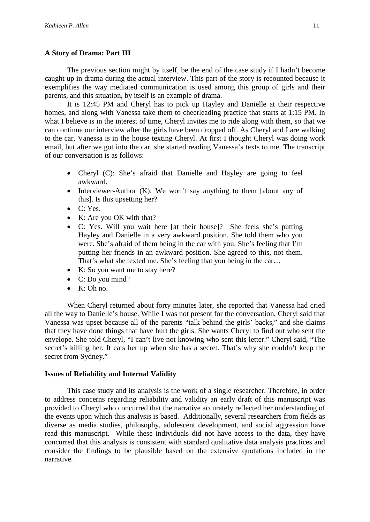# **A Story of Drama: Part III**

The previous section might by itself, be the end of the case study if I hadn't become caught up in drama during the actual interview. This part of the story is recounted because it exemplifies the way mediated communication is used among this group of girls and their parents, and this situation, by itself is an example of drama.

It is 12:45 PM and Cheryl has to pick up Hayley and Danielle at their respective homes, and along with Vanessa take them to cheerleading practice that starts at 1:15 PM. In what I believe is in the interest of time, Cheryl invites me to ride along with them, so that we can continue our interview after the girls have been dropped off. As Cheryl and I are walking to the car, Vanessa is in the house texting Cheryl. At first I thought Cheryl was doing work email, but after we got into the car, she started reading Vanessa's texts to me. The transcript of our conversation is as follows:

- Cheryl (C): She's afraid that Danielle and Hayley are going to feel awkward.
- Interviewer-Author (K): We won't say anything to them [about any of this]. Is this upsetting her?
- C: Yes.
- K: Are you OK with that?
- C: Yes. Will you wait here [at their house]? She feels she's putting Hayley and Danielle in a very awkward position. She told them who you were. She's afraid of them being in the car with you. She's feeling that I'm putting her friends in an awkward position. She agreed to this, not them. That's what she texted me. She's feeling that you being in the car…
- K: So you want me to stay here?
- C: Do you mind?
- K: Oh no.

When Cheryl returned about forty minutes later, she reported that Vanessa had cried all the way to Danielle's house. While I was not present for the conversation, Cheryl said that Vanessa was upset because all of the parents "talk behind the girls' backs," and she claims that they have done things that have hurt the girls. She wants Cheryl to find out who sent the envelope. She told Cheryl, "I can't live not knowing who sent this letter." Cheryl said, "The secret's killing her. It eats her up when she has a secret. That's why she couldn't keep the secret from Sydney."

# **Issues of Reliability and Internal Validity**

This case study and its analysis is the work of a single researcher. Therefore, in order to address concerns regarding reliability and validity an early draft of this manuscript was provided to Cheryl who concurred that the narrative accurately reflected her understanding of the events upon which this analysis is based. Additionally, several researchers from fields as diverse as media studies, philosophy, adolescent development, and social aggression have read this manuscript. While these individuals did not have access to the data, they have concurred that this analysis is consistent with standard qualitative data analysis practices and consider the findings to be plausible based on the extensive quotations included in the narrative.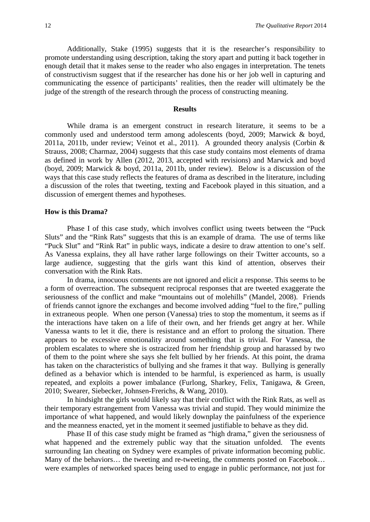Additionally, Stake (1995) suggests that it is the researcher's responsibility to promote understanding using description, taking the story apart and putting it back together in enough detail that it makes sense to the reader who also engages in interpretation. The tenets of constructivism suggest that if the researcher has done his or her job well in capturing and communicating the essence of participants' realities, then the reader will ultimately be the judge of the strength of the research through the process of constructing meaning.

#### **Results**

While drama is an emergent construct in research literature, it seems to be a commonly used and understood term among adolescents (boyd, 2009; Marwick & boyd, 2011a, 2011b, under review; Veinot et al., 2011). A grounded theory analysis (Corbin  $\&$ Strauss, 2008; Charmaz, 2004) suggests that this case study contains most elements of drama as defined in work by Allen (2012, 2013, accepted with revisions) and Marwick and boyd (boyd, 2009; Marwick & boyd, 2011a, 2011b, under review). Below is a discussion of the ways that this case study reflects the features of drama as described in the literature, including a discussion of the roles that tweeting, texting and Facebook played in this situation, and a discussion of emergent themes and hypotheses.

#### **How is this Drama?**

Phase I of this case study, which involves conflict using tweets between the "Puck Sluts" and the "Rink Rats" suggests that this is an example of drama. The use of terms like "Puck Slut" and "Rink Rat" in public ways, indicate a desire to draw attention to one's self. As Vanessa explains, they all have rather large followings on their Twitter accounts, so a large audience, suggesting that the girls want this kind of attention, observes their conversation with the Rink Rats.

In drama, innocuous comments are not ignored and elicit a response. This seems to be a form of overreaction. The subsequent reciprocal responses that are tweeted exaggerate the seriousness of the conflict and make "mountains out of molehills" (Mandel, 2008). Friends of friends cannot ignore the exchanges and become involved adding "fuel to the fire," pulling in extraneous people. When one person (Vanessa) tries to stop the momentum, it seems as if the interactions have taken on a life of their own, and her friends get angry at her. While Vanessa wants to let it die, there is resistance and an effort to prolong the situation. There appears to be excessive emotionality around something that is trivial. For Vanessa, the problem escalates to where she is ostracized from her friendship group and harassed by two of them to the point where she says she felt bullied by her friends. At this point, the drama has taken on the characteristics of bullying and she frames it that way. Bullying is generally defined as a behavior which is intended to be harmful, is experienced as harm, is usually repeated, and exploits a power imbalance (Furlong, Sharkey, Felix, Tanigawa, & Green, 2010; Swearer, Siebecker, Johnsen-Frerichs, & Wang, 2010).

In hindsight the girls would likely say that their conflict with the Rink Rats, as well as their temporary estrangement from Vanessa was trivial and stupid. They would minimize the importance of what happened, and would likely downplay the painfulness of the experience and the meanness enacted, yet in the moment it seemed justifiable to behave as they did.

Phase II of this case study might be framed as "high drama," given the seriousness of what happened and the extremely public way that the situation unfolded. The events surrounding Ian cheating on Sydney were examples of private information becoming public. Many of the behaviors... the tweeting and re-tweeting, the comments posted on Facebook... were examples of networked spaces being used to engage in public performance, not just for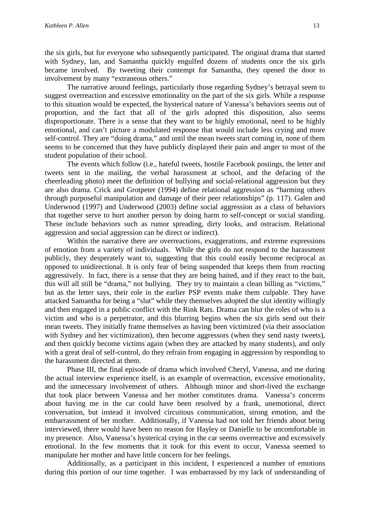the six girls, but for everyone who subsequently participated. The original drama that started with Sydney, Ian, and Samantha quickly engulfed dozens of students once the six girls became involved. By tweeting their contempt for Samantha, they opened the door to involvement by many "extraneous others."

The narrative around feelings, particularly those regarding Sydney's betrayal seem to suggest overreaction and excessive emotionality on the part of the six girls. While a response to this situation would be expected, the hysterical nature of Vanessa's behaviors seems out of proportion, and the fact that all of the girls adopted this disposition, also seems disproportionate. There is a sense that they want to be highly emotional, need to be highly emotional, and can't picture a modulated response that would include less crying and more self-control. They are "doing drama," and until the mean tweets start coming in, none of them seems to be concerned that they have publicly displayed their pain and anger to most of the student population of their school.

The events which follow (i.e., hateful tweets, hostile Facebook postings, the letter and tweets sent in the mailing, the verbal harassment at school, and the defacing of the cheerleading photo) meet the definition of bullying and social-relational aggression but they are also drama. Crick and Grotpeter (1994) define relational aggression as "harming others through purposeful manipulation and damage of their peer relationships" (p. 117). Galen and Underwood (1997) and Underwood (2003) define social aggression as a class of behaviors that together serve to hurt another person by doing harm to self-concept or social standing. These include behaviors such as rumor spreading, dirty looks, and ostracism. Relational aggression and social aggression can be direct or indirect).

Within the narrative there are overreactions, exaggerations, and extreme expressions of emotion from a variety of individuals. While the girls do not respond to the harassment publicly, they desperately want to, suggesting that this could easily become reciprocal as opposed to unidirectional. It is only fear of being suspended that keeps them from reacting aggressively. In fact, there is a sense that they are being baited, and if they react to the bait, this will all still be "drama," not bullying. They try to maintain a clean billing as "victims," but as the letter says, their role in the earlier PSP events make them culpable. They have attacked Samantha for being a "slut" while they themselves adopted the slut identity willingly and then engaged in a public conflict with the Rink Rats. Drama can blur the roles of who is a victim and who is a perpetrator, and this blurring begins when the six girls send out their mean tweets. They initially frame themselves as having been victimized (via their association with Sydney and her victimization), then become aggressors (when they send nasty tweets), and then quickly become victims again (when they are attacked by many students), and only with a great deal of self-control, do they refrain from engaging in aggression by responding to the harassment directed at them.

Phase III, the final episode of drama which involved Cheryl, Vanessa, and me during the actual interview experience itself, is an example of overreaction, excessive emotionality, and the unnecessary involvement of others. Although minor and short-lived the exchange that took place between Vanessa and her mother constitutes drama. Vanessa's concerns about having me in the car could have been resolved by a frank, unemotional, direct conversation, but instead it involved circuitous communication, strong emotion, and the embarrassment of her mother. Additionally, if Vanessa had not told her friends about being interviewed, there would have been no reason for Hayley or Danielle to be uncomfortable in my presence. Also, Vanessa's hysterical crying in the car seems overreactive and excessively emotional. In the few moments that it took for this event to occur, Vanessa seemed to manipulate her mother and have little concern for her feelings.

Additionally, as a participant in this incident, I experienced a number of emotions during this portion of our time together. I was embarrassed by my lack of understanding of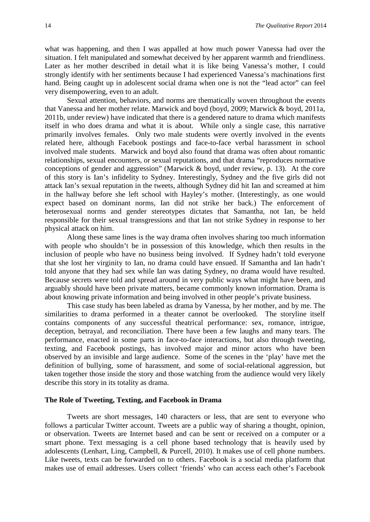what was happening, and then I was appalled at how much power Vanessa had over the situation. I felt manipulated and somewhat deceived by her apparent warmth and friendliness. Later as her mother described in detail what it is like being Vanessa's mother, I could strongly identify with her sentiments because I had experienced Vanessa's machinations first hand. Being caught up in adolescent social drama when one is not the "lead actor" can feel very disempowering, even to an adult.

Sexual attention, behaviors, and norms are thematically woven throughout the events that Vanessa and her mother relate. Marwick and boyd (boyd, 2009; Marwick & boyd, 2011a, 2011b, under review) have indicated that there is a gendered nature to drama which manifests itself in who does drama and what it is about. While only a single case, this narrative primarily involves females. Only two male students were overtly involved in the events related here, although Facebook postings and face-to-face verbal harassment in school involved male students. Marwick and boyd also found that drama was often about romantic relationships, sexual encounters, or sexual reputations, and that drama "reproduces normative conceptions of gender and aggression" (Marwick & boyd, under review, p. 13). At the core of this story is Ian's infidelity to Sydney. Interestingly, Sydney and the five girls did not attack Ian's sexual reputation in the tweets, although Sydney did hit Ian and screamed at him in the hallway before she left school with Hayley's mother. (Interestingly, as one would expect based on dominant norms, Ian did not strike her back.) The enforcement of heterosexual norms and gender stereotypes dictates that Samantha, not Ian, be held responsible for their sexual transgressions and that Ian not strike Sydney in response to her physical attack on him.

Along these same lines is the way drama often involves sharing too much information with people who shouldn't be in possession of this knowledge, which then results in the inclusion of people who have no business being involved. If Sydney hadn't told everyone that she lost her virginity to Ian, no drama could have ensued. If Samantha and Ian hadn't told anyone that they had sex while Ian was dating Sydney, no drama would have resulted. Because secrets were told and spread around in very public ways what might have been, and arguably should have been private matters, became commonly known information. Drama is about knowing private information and being involved in other people's private business.

This case study has been labeled as drama by Vanessa, by her mother, and by me. The similarities to drama performed in a theater cannot be overlooked. The storyline itself contains components of any successful theatrical performance: sex, romance, intrigue, deception, betrayal, and reconciliation. There have been a few laughs and many tears. The performance, enacted in some parts in face-to-face interactions, but also through tweeting, texting, and Facebook postings, has involved major and minor actors who have been observed by an invisible and large audience. Some of the scenes in the 'play' have met the definition of bullying, some of harassment, and some of social-relational aggression, but taken together those inside the story and those watching from the audience would very likely describe this story in its totality as drama.

# **The Role of Tweeting, Texting, and Facebook in Drama**

Tweets are short messages, 140 characters or less, that are sent to everyone who follows a particular Twitter account. Tweets are a public way of sharing a thought, opinion, or observation. Tweets are Internet based and can be sent or received on a computer or a smart phone. Text messaging is a cell phone based technology that is heavily used by adolescents (Lenhart, Ling, Campbell, & Purcell, 2010). It makes use of cell phone numbers. Like tweets, texts can be forwarded on to others. Facebook is a social media platform that makes use of email addresses. Users collect 'friends' who can access each other's Facebook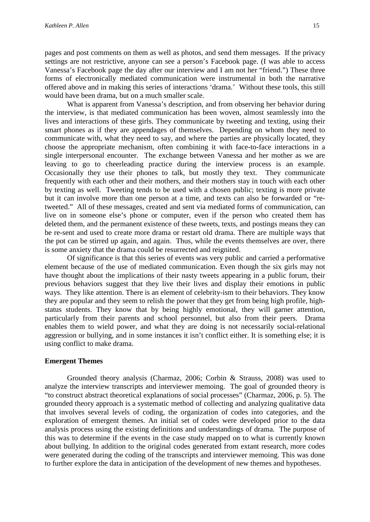pages and post comments on them as well as photos, and send them messages. If the privacy settings are not restrictive, anyone can see a person's Facebook page. (I was able to access Vanessa's Facebook page the day after our interview and I am not her "friend.") These three forms of electronically mediated communication were instrumental in both the narrative offered above and in making this series of interactions 'drama.' Without these tools, this still would have been drama, but on a much smaller scale.

What is apparent from Vanessa's description, and from observing her behavior during the interview, is that mediated communication has been woven, almost seamlessly into the lives and interactions of these girls. They communicate by tweeting and texting, using their smart phones as if they are appendages of themselves. Depending on whom they need to communicate with, what they need to say, and where the parties are physically located, they choose the appropriate mechanism, often combining it with face-to-face interactions in a single interpersonal encounter. The exchange between Vanessa and her mother as we are leaving to go to cheerleading practice during the interview process is an example. Occasionally they use their phones to talk, but mostly they text. They communicate frequently with each other and their mothers, and their mothers stay in touch with each other by texting as well. Tweeting tends to be used with a chosen public; texting is more private but it can involve more than one person at a time, and texts can also be forwarded or "retweeted." All of these messages, created and sent via mediated forms of communication, can live on in someone else's phone or computer, even if the person who created them has deleted them, and the permanent existence of these tweets, texts, and postings means they can be re-sent and used to create more drama or restart old drama. There are multiple ways that the pot can be stirred up again, and again. Thus, while the events themselves are over, there is some anxiety that the drama could be resurrected and reignited.

Of significance is that this series of events was very public and carried a performative element because of the use of mediated communication. Even though the six girls may not have thought about the implications of their nasty tweets appearing in a public forum, their previous behaviors suggest that they live their lives and display their emotions in public ways. They like attention. There is an element of celebrity-ism to their behaviors. They know they are popular and they seem to relish the power that they get from being high profile, highstatus students. They know that by being highly emotional, they will garner attention, particularly from their parents and school personnel, but also from their peers. Drama enables them to wield power, and what they are doing is not necessarily social-relational aggression or bullying, and in some instances it isn't conflict either. It is something else; it is using conflict to make drama.

#### **Emergent Themes**

Grounded theory analysis (Charmaz, 2006; Corbin & Strauss, 2008) was used to analyze the interview transcripts and interviewer memoing. The goal of grounded theory is "to construct abstract theoretical explanations of social processes" (Charmaz, 2006, p. 5). The grounded theory approach is a systematic method of collecting and analyzing qualitative data that involves several levels of coding, the organization of codes into categories, and the exploration of emergent themes. An initial set of codes were developed prior to the data analysis process using the existing definitions and understandings of drama. The purpose of this was to determine if the events in the case study mapped on to what is currently known about bullying. In addition to the original codes generated from extant research, more codes were generated during the coding of the transcripts and interviewer memoing. This was done to further explore the data in anticipation of the development of new themes and hypotheses.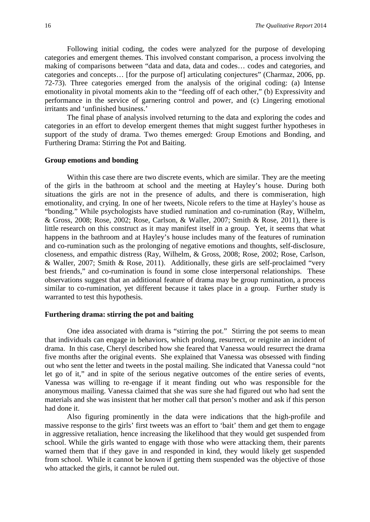Following initial coding, the codes were analyzed for the purpose of developing categories and emergent themes. This involved constant comparison, a process involving the making of comparisons between "data and data, data and codes… codes and categories, and categories and concepts… [for the purpose of] articulating conjectures" (Charmaz, 2006, pp. 72-73). Three categories emerged from the analysis of the original coding: (a) Intense emotionality in pivotal moments akin to the "feeding off of each other," (b) Expressivity and performance in the service of garnering control and power, and (c) Lingering emotional irritants and 'unfinished business.'

The final phase of analysis involved returning to the data and exploring the codes and categories in an effort to develop emergent themes that might suggest further hypotheses in support of the study of drama. Two themes emerged: Group Emotions and Bonding, and Furthering Drama: Stirring the Pot and Baiting.

#### **Group emotions and bonding**

Within this case there are two discrete events, which are similar. They are the meeting of the girls in the bathroom at school and the meeting at Hayley's house. During both situations the girls are not in the presence of adults, and there is commiseration, high emotionality, and crying. In one of her tweets, Nicole refers to the time at Hayley's house as "bonding." While psychologists have studied rumination and co-rumination (Ray, Wilhelm, & Gross, 2008; Rose, 2002; Rose, Carlson, & Waller, 2007; Smith & Rose, 2011), there is little research on this construct as it may manifest itself in a group. Yet, it seems that what happens in the bathroom and at Hayley's house includes many of the features of rumination and co-rumination such as the prolonging of negative emotions and thoughts, self-disclosure, closeness, and empathic distress (Ray, Wilhelm, & Gross, 2008; Rose, 2002; Rose, Carlson, & Waller, 2007; Smith & Rose, 2011). Additionally, these girls are self-proclaimed "very best friends," and co-rumination is found in some close interpersonal relationships. These observations suggest that an additional feature of drama may be group rumination, a process similar to co-rumination, yet different because it takes place in a group. Further study is warranted to test this hypothesis.

# **Furthering drama: stirring the pot and baiting**

One idea associated with drama is "stirring the pot." Stirring the pot seems to mean that individuals can engage in behaviors, which prolong, resurrect, or reignite an incident of drama. In this case, Cheryl described how she feared that Vanessa would resurrect the drama five months after the original events. She explained that Vanessa was obsessed with finding out who sent the letter and tweets in the postal mailing. She indicated that Vanessa could "not let go of it," and in spite of the serious negative outcomes of the entire series of events, Vanessa was willing to re-engage if it meant finding out who was responsible for the anonymous mailing. Vanessa claimed that she was sure she had figured out who had sent the materials and she was insistent that her mother call that person's mother and ask if this person had done it.

Also figuring prominently in the data were indications that the high-profile and massive response to the girls' first tweets was an effort to 'bait' them and get them to engage in aggressive retaliation, hence increasing the likelihood that they would get suspended from school. While the girls wanted to engage with those who were attacking them, their parents warned them that if they gave in and responded in kind, they would likely get suspended from school. While it cannot be known if getting them suspended was the objective of those who attacked the girls, it cannot be ruled out.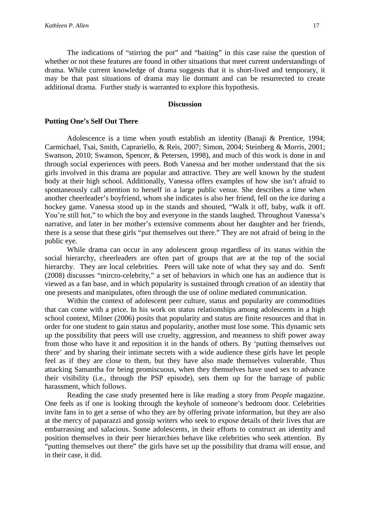The indications of "stirring the pot" and "baiting" in this case raise the question of whether or not these features are found in other situations that meet current understandings of drama. While current knowledge of drama suggests that it is short-lived and temporary, it may be that past situations of drama may lie dormant and can be resurrected to create additional drama. Further study is warranted to explore this hypothesis.

# **Discussion**

#### **Putting One's Self Out There**

Adolescence is a time when youth establish an identity (Banaji & Prentice, 1994; Carmichael, Tsai, Smith, Caprariello, & Reis, 2007; Simon, 2004; Steinberg & Morris, 2001; Swanson, 2010; Swanson, Spencer, & Petersen, 1998), and much of this work is done in and through social experiences with peers. Both Vanessa and her mother understand that the six girls involved in this drama are popular and attractive. They are well known by the student body at their high school. Additionally, Vanessa offers examples of how she isn't afraid to spontaneously call attention to herself in a large public venue. She describes a time when another cheerleader's boyfriend, whom she indicates is also her friend, fell on the ice during a hockey game. Vanessa stood up in the stands and shouted, "Walk it off, baby, walk it off. You're still hot," to which the boy and everyone in the stands laughed. Throughout Vanessa's narrative, and later in her mother's extensive comments about her daughter and her friends, there is a sense that these girls "put themselves out there." They are not afraid of being in the public eye.

While drama can occur in any adolescent group regardless of its status within the social hierarchy, cheerleaders are often part of groups that are at the top of the social hierarchy. They are local celebrities. Peers will take note of what they say and do. Senft (2008) discusses "mircro-celebrity," a set of behaviors in which one has an audience that is viewed as a fan base, and in which popularity is sustained through creation of an identity that one presents and manipulates, often through the use of online mediated communication.

Within the context of adolescent peer culture, status and popularity are commodities that can come with a price. In his work on status relationships among adolescents in a high school context, Milner (2006) posits that popularity and status are finite resources and that in order for one student to gain status and popularity, another must lose some. This dynamic sets up the possibility that peers will use cruelty, aggression, and meanness to shift power away from those who have it and reposition it in the hands of others. By 'putting themselves out there' and by sharing their intimate secrets with a wide audience these girls have let people feel as if they are close to them, but they have also made themselves vulnerable. Thus attacking Samantha for being promiscuous, when they themselves have used sex to advance their visibility (i.e., through the PSP episode), sets them up for the barrage of public harassment, which follows.

Reading the case study presented here is like reading a story from *People* magazine. One feels as if one is looking through the keyhole of someone's bedroom door. Celebrities invite fans in to get a sense of who they are by offering private information, but they are also at the mercy of paparazzi and gossip writers who seek to expose details of their lives that are embarrassing and salacious. Some adolescents, in their efforts to construct an identity and position themselves in their peer hierarchies behave like celebrities who seek attention. By "putting themselves out there" the girls have set up the possibility that drama will ensue, and in their case, it did.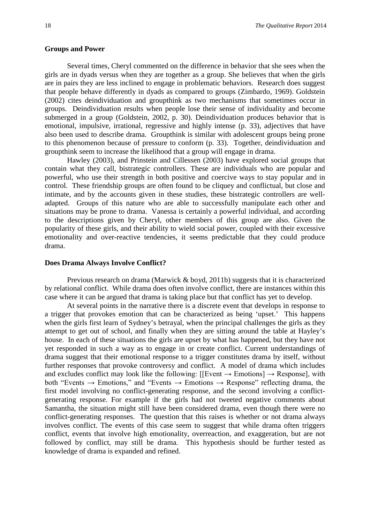#### **Groups and Power**

Several times, Cheryl commented on the difference in behavior that she sees when the girls are in dyads versus when they are together as a group. She believes that when the girls are in pairs they are less inclined to engage in problematic behaviors. Research does suggest that people behave differently in dyads as compared to groups (Zimbardo, 1969). Goldstein (2002) cites deindividuation and groupthink as two mechanisms that sometimes occur in groups. Deindividuation results when people lose their sense of individuality and become submerged in a group (Goldstein, 2002, p. 30). Deindividuation produces behavior that is emotional, impulsive, irrational, regressive and highly intense (p. 33), adjectives that have also been used to describe drama. Groupthink is similar with adolescent groups being prone to this phenomenon because of pressure to conform (p. 33). Together, deindividuation and groupthink seem to increase the likelihood that a group will engage in drama.

Hawley (2003), and Prinstein and Cillessen (2003) have explored social groups that contain what they call, bistrategic controllers. These are individuals who are popular and powerful, who use their strength in both positive and coercive ways to stay popular and in control. These friendship groups are often found to be cliquey and conflictual, but close and intimate, and by the accounts given in these studies, these bistrategic controllers are welladapted. Groups of this nature who are able to successfully manipulate each other and situations may be prone to drama. Vanessa is certainly a powerful individual, and according to the descriptions given by Cheryl, other members of this group are also. Given the popularity of these girls, and their ability to wield social power, coupled with their excessive emotionality and over-reactive tendencies, it seems predictable that they could produce drama.

#### **Does Drama Always Involve Conflict?**

Previous research on drama (Marwick & boyd, 2011b) suggests that it is characterized by relational conflict. While drama does often involve conflict, there are instances within this case where it can be argued that drama is taking place but that conflict has yet to develop.

At several points in the narrative there is a discrete event that develops in response to a trigger that provokes emotion that can be characterized as being 'upset.' This happens when the girls first learn of Sydney's betrayal, when the principal challenges the girls as they attempt to get out of school, and finally when they are sitting around the table at Hayley's house. In each of these situations the girls are upset by what has happened, but they have not yet responded in such a way as to engage in or create conflict. Current understandings of drama suggest that their emotional response to a trigger constitutes drama by itself, without further responses that provoke controversy and conflict. A model of drama which includes and excludes conflict may look like the following:  $[[Event \rightarrow Emotions] \rightarrow Response]$ , with both "Events  $\rightarrow$  Emotions," and "Events  $\rightarrow$  Emotions  $\rightarrow$  Response" reflecting drama, the first model involving no conflict-generating response, and the second involving a conflictgenerating response. For example if the girls had not tweeted negative comments about Samantha, the situation might still have been considered drama, even though there were no conflict-generating responses. The question that this raises is whether or not drama always involves conflict. The events of this case seem to suggest that while drama often triggers conflict, events that involve high emotionality, overreaction, and exaggeration, but are not followed by conflict, may still be drama. This hypothesis should be further tested as knowledge of drama is expanded and refined.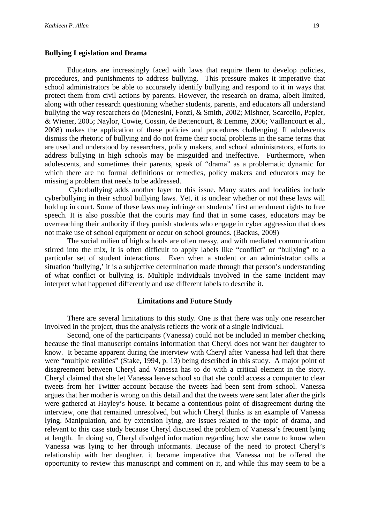#### **Bullying Legislation and Drama**

Educators are increasingly faced with laws that require them to develop policies, procedures, and punishments to address bullying. This pressure makes it imperative that school administrators be able to accurately identify bullying and respond to it in ways that protect them from civil actions by parents. However, the research on drama, albeit limited, along with other research questioning whether students, parents, and educators all understand bullying the way researchers do (Menesini, Fonzi, & Smith, 2002; Mishner, Scarcello, Pepler, & Wiener, 2005; Naylor, Cowie, Cossin, de Bettencourt, & Lemme, 2006; Vaillancourt et al., 2008) makes the application of these policies and procedures challenging. If adolescents dismiss the rhetoric of bullying and do not frame their social problems in the same terms that are used and understood by researchers, policy makers, and school administrators, efforts to address bullying in high schools may be misguided and ineffective. Furthermore, when adolescents, and sometimes their parents, speak of "drama" as a problematic dynamic for which there are no formal definitions or remedies, policy makers and educators may be missing a problem that needs to be addressed.

Cyberbullying adds another layer to this issue. Many states and localities include cyberbullying in their school bullying laws. Yet, it is unclear whether or not these laws will hold up in court. Some of these laws may infringe on students' first amendment rights to free speech. It is also possible that the courts may find that in some cases, educators may be overreaching their authority if they punish students who engage in cyber aggression that does not make use of school equipment or occur on school grounds. (Backus, 2009)

The social milieu of high schools are often messy, and with mediated communication stirred into the mix, it is often difficult to apply labels like "conflict" or "bullying" to a particular set of student interactions. Even when a student or an administrator calls a situation 'bullying,' it is a subjective determination made through that person's understanding of what conflict or bullying is. Multiple individuals involved in the same incident may interpret what happened differently and use different labels to describe it.

#### **Limitations and Future Study**

There are several limitations to this study. One is that there was only one researcher involved in the project, thus the analysis reflects the work of a single individual.

Second, one of the participants (Vanessa) could not be included in member checking because the final manuscript contains information that Cheryl does not want her daughter to know. It became apparent during the interview with Cheryl after Vanessa had left that there were "multiple realities" (Stake, 1994, p. 13) being described in this study. A major point of disagreement between Cheryl and Vanessa has to do with a critical element in the story. Cheryl claimed that she let Vanessa leave school so that she could access a computer to clear tweets from her Twitter account because the tweets had been sent from school. Vanessa argues that her mother is wrong on this detail and that the tweets were sent later after the girls were gathered at Hayley's house. It became a contentious point of disagreement during the interview, one that remained unresolved, but which Cheryl thinks is an example of Vanessa lying. Manipulation, and by extension lying, are issues related to the topic of drama, and relevant to this case study because Cheryl discussed the problem of Vanessa's frequent lying at length. In doing so, Cheryl divulged information regarding how she came to know when Vanessa was lying to her through informants. Because of the need to protect Cheryl's relationship with her daughter, it became imperative that Vanessa not be offered the opportunity to review this manuscript and comment on it, and while this may seem to be a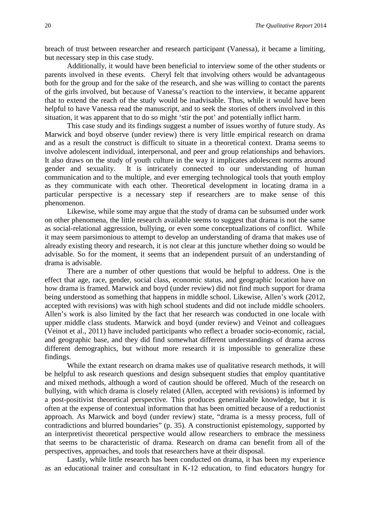breach of trust between researcher and research participant (Vanessa), it became a limiting, but necessary step in this case study.

Additionally, it would have been beneficial to interview some of the other students or parents involved in these events. Cheryl felt that involving others would be advantageous both for the group and for the sake of the research, and she was willing to contact the parents of the girls involved, but because of Vanessa's reaction to the interview, it became apparent that to extend the reach of the study would be inadvisable. Thus, while it would have been helpful to have Vanessa read the manuscript, and to seek the stories of others involved in this situation, it was apparent that to do so might 'stir the pot' and potentially inflict harm.

This case study and its findings suggest a number of issues worthy of future study. As Marwick and boyd observe (under review) there is very little empirical research on drama and as a result the construct is difficult to situate in a theoretical context. Drama seems to involve adolescent individual, interpersonal, and peer and group relationships and behaviors. It also draws on the study of youth culture in the way it implicates adolescent norms around gender and sexuality. It is intricately connected to our understanding of human communication and to the multiple, and ever emerging technological tools that youth employ as they communicate with each other. Theoretical development in locating drama in a particular perspective is a necessary step if researchers are to make sense of this phenomenon.

Likewise, while some may argue that the study of drama can be subsumed under work on other phenomena, the little research available seems to suggest that drama is not the same as social-relational aggression, bullying, or even some conceptualizations of conflict. While it may seem parsimonious to attempt to develop an understanding of drama that makes use of already existing theory and research, it is not clear at this juncture whether doing so would be advisable. So for the moment, it seems that an independent pursuit of an understanding of drama is advisable.

There are a number of other questions that would be helpful to address. One is the effect that age, race, gender, social class, economic status, and geographic location have on how drama is framed. Marwick and boyd (under review) did not find much support for drama being understood as something that happens in middle school. Likewise, Allen's work (2012, accepted with revisions) was with high school students and did not include middle schoolers. Allen's work is also limited by the fact that her research was conducted in one locale with upper middle class students. Marwick and boyd (under review) and Veinot and colleagues (Veinot et al., 2011) have included participants who reflect a broader socio-economic, racial, and geographic base, and they did find somewhat different understandings of drama across different demographics, but without more research it is impossible to generalize these findings.

While the extant research on drama makes use of qualitative research methods, it will be helpful to ask research questions and design subsequent studies that employ quantitative and mixed methods, although a word of caution should be offered. Much of the research on bullying, with which drama is closely related (Allen, accepted with revisions) is informed by a post-positivist theoretical perspective. This produces generalizable knowledge, but it is often at the expense of contextual information that has been omitted because of a reductionist approach. As Marwick and boyd (under review) state, "drama is a messy process, full of contradictions and blurred boundaries" (p. 35). A constructionist epistemology, supported by an interpretivist theoretical perspective would allow researchers to embrace the messiness that seems to be characteristic of drama. Research on drama can benefit from all of the perspectives, approaches, and tools that researchers have at their disposal.

Lastly, while little research has been conducted on drama, it has been my experience as an educational trainer and consultant in K-12 education, to find educators hungry for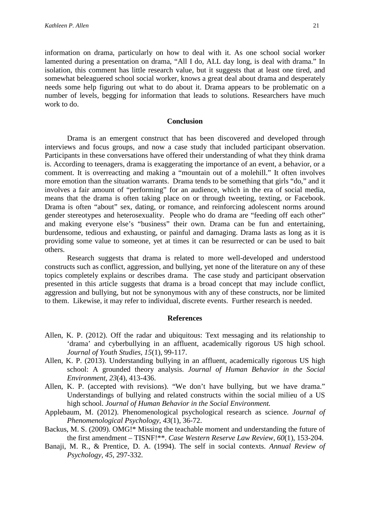information on drama, particularly on how to deal with it. As one school social worker lamented during a presentation on drama, "All I do, ALL day long, is deal with drama." In isolation, this comment has little research value, but it suggests that at least one tired, and somewhat beleaguered school social worker, knows a great deal about drama and desperately needs some help figuring out what to do about it. Drama appears to be problematic on a number of levels, begging for information that leads to solutions. Researchers have much work to do.

#### **Conclusion**

Drama is an emergent construct that has been discovered and developed through interviews and focus groups, and now a case study that included participant observation. Participants in these conversations have offered their understanding of what they think drama is. According to teenagers, drama is exaggerating the importance of an event, a behavior, or a comment. It is overreacting and making a "mountain out of a molehill." It often involves more emotion than the situation warrants. Drama tends to be something that girls "do," and it involves a fair amount of "performing" for an audience, which in the era of social media, means that the drama is often taking place on or through tweeting, texting, or Facebook. Drama is often "about" sex, dating, or romance, and reinforcing adolescent norms around gender stereotypes and heterosexuality. People who do drama are "feeding off each other" and making everyone else's "business" their own. Drama can be fun and entertaining, burdensome, tedious and exhausting, or painful and damaging. Drama lasts as long as it is providing some value to someone, yet at times it can be resurrected or can be used to bait others.

Research suggests that drama is related to more well-developed and understood constructs such as conflict, aggression, and bullying, yet none of the literature on any of these topics completely explains or describes drama. The case study and participant observation presented in this article suggests that drama is a broad concept that may include conflict, aggression and bullying, but not be synonymous with any of these constructs, nor be limited to them. Likewise, it may refer to individual, discrete events. Further research is needed.

#### **References**

- Allen, K. P. (2012). Off the radar and ubiquitous: Text messaging and its relationship to 'drama' and cyberbullying in an affluent, academically rigorous US high school. *Journal of Youth Studies, 15*(1), 99-117.
- Allen, K. P. (2013). Understanding bullying in an affluent, academically rigorous US high school: A grounded theory analysis. *Journal of Human Behavior in the Social Environment, 23*(4), 413-436.
- Allen, K. P. (accepted with revisions). "We don't have bullying, but we have drama." Understandings of bullying and related constructs within the social milieu of a US high school. *Journal of Human Behavior in the Social Environment.*
- Applebaum, M. (2012). Phenomenological psychological research as science. *Journal of Phenomenological Psychology, 43*(1), 36-72.
- Backus, M. S. (2009). OMG!\* Missing the teachable moment and understanding the future of the first amendment – TISNF!\*\*. *Case Western Reserve Law Review, 60*(1), 153-204.
- Banaji, M. R., & Prentice, D. A. (1994). The self in social contexts. *Annual Review of Psychology, 45*, 297-332.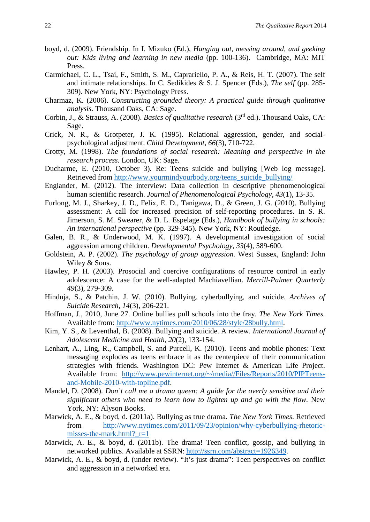- boyd, d. (2009). Friendship. In I. Mizuko (Ed.), *Hanging out, messing around, and geeking out: Kids living and learning in new media* (pp. 100-136). Cambridge, MA: MIT Press.
- Carmichael, C. L., Tsai, F., Smith, S. M., Caprariello, P. A., & Reis, H. T. (2007). The self and intimate relationships. In C. Sedikides & S. J. Spencer (Eds.), *The self* (pp. 285- 309). New York, NY: Psychology Press.
- Charmaz, K. (2006). *Constructing grounded theory: A practical guide through qualitative analysis.* Thousand Oaks, CA: Sage.
- Corbin, J., & Strauss, A. (2008). *Basics of qualitative research* (3rd ed.). Thousand Oaks, CA: Sage.
- Crick, N. R., & Grotpeter, J. K. (1995). Relational aggression, gender, and socialpsychological adjustment. *Child Development, 66*(3), 710-722.
- Crotty, M. (1998). *The foundations of social research: Meaning and perspective in the research process.* London, UK: Sage.
- Ducharme, E. (2010, October 3). Re: Teens suicide and bullying [Web log message]. Retrieved from [http://www.yourmindyourbody.org/teens\\_suicide\\_bullying/](http://www.yourmindyourbody.org/teens_suicide_bullying/)
- Englander, M. (2012). The interview: Data collection in descriptive phenomenological human scientific research. *Journal of Phenomenological Psychology, 43*(1), 13-35.
- Furlong, M. J., Sharkey, J. D., Felix, E. D., Tanigawa, D., & Green, J. G. (2010). Bullying assessment: A call for increased precision of self-reporting procedures. In S. R. Jimerson, S. M. Swearer, & D. L. Espelage (Eds.), *Handbook of bullying in schools: An international perspective* (pp. 329-345). New York, NY: Routledge.
- Galen, B. R., & Underwood, M. K. (1997). A developmental investigation of social aggression among children. *Developmental Psychology, 33*(4), 589-600.
- Goldstein, A. P. (2002). *The psychology of group aggression.* West Sussex, England: John Wiley & Sons.
- Hawley, P. H. (2003). Prosocial and coercive configurations of resource control in early adolescence: A case for the well-adapted Machiavellian. *Merrill-Palmer Quarterly 49*(3), 279-309.
- Hinduja, S., & Patchin, J. W. (2010). Bullying, cyberbullying, and suicide. *Archives of Suicide Research, 14*(3), 206-221.
- Hoffman, J., 2010, June 27. Online bullies pull schools into the fray. *The New York Times.*  Available from: [http://www.nytimes.com/2010/06/28/style/28bully.html.](http://www.nytimes.com/2010/06/28/style/28bully.html)
- Kim, Y. S., & Leventhal, B. (2008). Bullying and suicide. A review. *International Journal of Adolescent Medicine and Health, 20*(2), 133-154.
- Lenhart, A., Ling, R., Campbell, S. and Purcell, K. (2010). Teens and mobile phones: Text messaging explodes as teens embrace it as the centerpiece of their communication strategies with friends. Washington DC: Pew Internet & American Life Project. Available from: [http://www.pewinternet.org/~/media//Files/Reports/2010/PIPTeens](http://www.pewinternet.org/%7E/media/Files/Reports/2010/PIPTeens-and-Mobile-2010-with-topline.pdf)[and-Mobile-2010-with-topline.pdf.](http://www.pewinternet.org/%7E/media/Files/Reports/2010/PIPTeens-and-Mobile-2010-with-topline.pdf)
- Mandel, D. (2008). *Don't call me a drama queen: A guide for the overly sensitive and their significant others who need to learn how to lighten up and go with the flow.* New York, NY: Alyson Books.
- Marwick, A. E., & boyd, d. (2011a). Bullying as true drama. *The New York Times*. Retrieved from [http://www.nytimes.com/2011/09/23/opinion/why-cyberbullying-rhetoric](http://www.nytimes.com/2011/09/23/opinion/why-cyberbullying-rhetoric-misses-the-mark.html?_r=1)misses-the-mark.html? $r=1$
- Marwick, A. E., & boyd, d. (2011b). The drama! Teen conflict, gossip, and bullying in networked publics. Available at SSRN: [http://ssrn.com/abstract=1926349.](http://ssrn.com/abstract=1926349)
- Marwick, A. E., & boyd, d. (under review). "It's just drama": Teen perspectives on conflict and aggression in a networked era.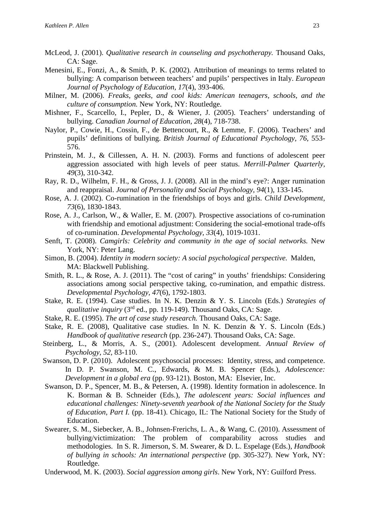- McLeod, J. (2001). *Qualitative research in counseling and psychotherapy.* Thousand Oaks, CA: Sage.
- Menesini, E., Fonzi, A., & Smith, P. K. (2002). Attribution of meanings to terms related to bullying: A comparison between teachers' and pupils' perspectives in Italy. *European Journal of Psychology of Education, 17*(4), 393-406.
- Milner, M. (2006). *Freaks, geeks, and cool kids: American teenagers, schools, and the culture of consumption.* New York, NY: Routledge.
- Mishner, F., Scarcello, I., Pepler, D., & Wiener, J. (2005). Teachers' understanding of bullying. *Canadian Journal of Education, 28*(4), 718-738.
- Naylor, P., Cowie, H., Cossin, F., de Bettencourt, R., & Lemme, F. (2006). Teachers' and pupils' definitions of bullying. *British Journal of Educational Psychology, 76*, 553- 576.
- Prinstein, M. J., & Cillessen, A. H. N. (2003). Forms and functions of adolescent peer aggression associated with high levels of peer status. *Merrill-Palmer Quarterly, 49*(3), 310-342.
- Ray, R. D., Wilhelm, F. H., & Gross, J. J. (2008). All in the mind's eye?: Anger rumination and reappraisal. *Journal of Personality and Social Psychology, 94*(1), 133-145.
- Rose, A. J. (2002). Co-rumination in the friendships of boys and girls. *Child Development, 73*(6), 1830-1843.
- Rose, A. J., Carlson, W., & Waller, E. M. (2007). Prospective associations of co-rumination with friendship and emotional adjustment: Considering the social-emotional trade-offs of co-rumination. *Developmental Psychology, 33*(4), 1019-1031.
- Senft, T. (2008). *Camgirls: Celebrity and community in the age of social networks.* New York, NY: Peter Lang.
- Simon, B. (2004). *Identity in modern society: A social psychological perspective.* Malden, MA: Blackwell Publishing.
- Smith, R. L., & Rose, A. J. (2011). The "cost of caring" in youths' friendships: Considering associations among social perspective taking, co-rumination, and empathic distress. *Developmental Psychology, 47*(6), 1792-1803.
- Stake, R. E. (1994). Case studies. In N. K. Denzin & Y. S. Lincoln (Eds.) *Strategies of qualitative inquiry* (3<sup>rd</sup> ed., pp. 119-149). Thousand Oaks, CA: Sage.
- Stake, R. E. (1995). *The art of case study research.* Thousand Oaks, CA: Sage.
- Stake, R. E. (2008), Qualitative case studies. In N. K. Denzin & Y. S. Lincoln (Eds.) *Handbook of qualitative research* (pp. 236-247). Thousand Oaks, CA: Sage.
- Steinberg, L., & Morris, A. S., (2001). Adolescent development. *Annual Review of Psychology, 52,* 83-110.
- Swanson, D. P. (2010). Adolescent psychosocial processes: Identity, stress, and competence. In D. P. Swanson, M. C., Edwards, & M. B. Spencer (Eds.), *Adolescence: Development in a global era* (pp. 93-121). Boston, MA: Elsevier, Inc.
- Swanson, D. P., Spencer, M. B., & Petersen, A. (1998). Identity formation in adolescence. In K. Borman & B. Schneider (Eds.), *The adolescent years: Social influences and educational challenges: Ninety-seventh yearbook of the National Society for the Study of Education, Part I.* (pp. 18-41). Chicago, IL: The National Society for the Study of Education.
- Swearer, S. M., Siebecker, A. B., Johnsen-Frerichs, L. A., & Wang, C. (2010). Assessment of bullying/victimization: The problem of comparability across studies and methodologies. In S. R. Jimerson, S. M. Swearer, & D. L. Espelage (Eds.), *Handbook of bullying in schools: An international perspective* (pp. 305-327). New York, NY: Routledge.
- Underwood, M. K. (2003). *Social aggression among girls*. New York, NY: Guilford Press.